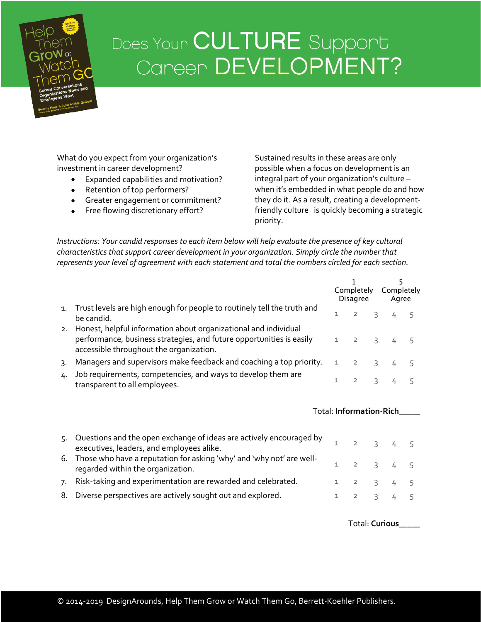## Does Your CULTURE Support Career DEVELOPMENT?

What do you expect from your organization's investment in career development?

- Expanded capabilities and motivation?
- Retention of top performers?
- Greater engagement or commitment?
- Free flowing discretionary effort?

Sustained results in these areas are only possible when a focus on development is an integral part of your organization's culture – when it's embedded in what people do and how they do it. As a result, creating a developmentfriendly culture is quickly becoming a strategic priority.

*Instructions: Your candid responses to each item below will help evaluate the presence of key cultural characteristics that support career development in your organization. Simply circle the number that represents your level of agreement with each statement and total the numbers circled for each section.*

|    |                                                                                                                                                                                    |              | Completely<br>Disagree |                | 5<br>Completely<br>Agree |   |
|----|------------------------------------------------------------------------------------------------------------------------------------------------------------------------------------|--------------|------------------------|----------------|--------------------------|---|
| 1. | Trust levels are high enough for people to routinely tell the truth and<br>be candid.                                                                                              | 1            | $\overline{2}$         |                | 3 <sup>7</sup><br>4      | 5 |
| 2. | Honest, helpful information about organizational and individual<br>performance, business strategies, and future opportunities is easily<br>accessible throughout the organization. | 1            | $\overline{2}$         | 3              | 4                        | 5 |
| 3. | Managers and supervisors make feedback and coaching a top priority.                                                                                                                | $\mathbf{1}$ | $\overline{2}$         | 3              |                          | 5 |
| 4. | Job requirements, competencies, and ways to develop them are<br>transparent to all employees.                                                                                      | 1            | $\overline{2}$         | $\overline{3}$ |                          | 5 |
|    |                                                                                                                                                                                    |              |                        |                | Total: Information-Rich  |   |
| 5. | Questions and the open exchange of ideas are actively encouraged by<br>executives, leaders, and employees alike.                                                                   | 1.           | $\overline{2}$         | 3              | 4                        | 5 |
| 6. | Those who have a reputation for asking 'why' and 'why not' are well-<br>regarded within the organization.                                                                          | 1            | $\overline{2}$         | $\overline{3}$ | 4                        | 5 |
| 7. | Risk-taking and experimentation are rewarded and celebrated.                                                                                                                       | 1            | $\overline{2}$         |                | 3 <sup>7</sup><br>4      | 5 |
| 8. | Diverse perspectives are actively sought out and explored.                                                                                                                         | 1            | $\overline{2}$         | $\overline{3}$ | 4                        | 5 |
|    |                                                                                                                                                                                    |              |                        |                |                          |   |

Total: **Curious\_\_\_\_\_**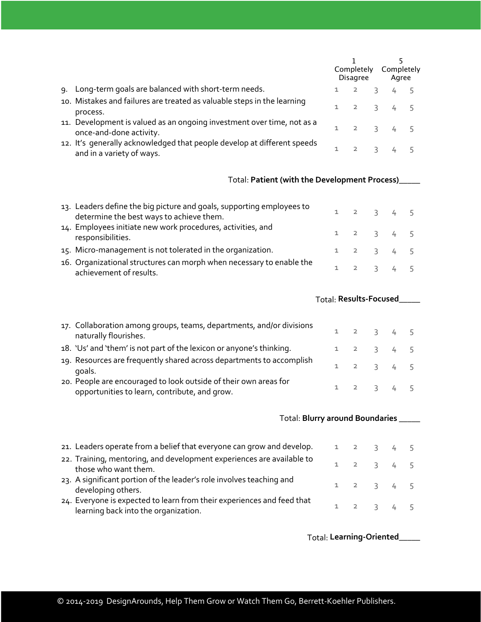|    |                                                                                                      | Completely<br><b>Disagree</b> |                  |               | Completely<br>Agree |  |  |
|----|------------------------------------------------------------------------------------------------------|-------------------------------|------------------|---------------|---------------------|--|--|
| ۹. | Long-term goals are balanced with short-term needs.                                                  |                               | $\overline{2}$   | $\mathcal{L}$ |                     |  |  |
|    | 10. Mistakes and failures are treated as valuable steps in the learning<br>process.                  |                               |                  |               | $2 \t3 \t4 \t5$     |  |  |
|    | 11. Development is valued as an ongoing investment over time, not as a<br>once-and-done activity.    |                               |                  |               | $2 \t3 \t4 \t5$     |  |  |
|    | 12. It's generally acknowledged that people develop at different speeds<br>and in a variety of ways. |                               | $2 \overline{3}$ |               |                     |  |  |

## Total: **Patient (with the Development Process)\_\_\_\_\_**

| 13. Leaders define the big picture and goals, supporting employees to<br>determine the best ways to achieve them. | $1 \t2 \t3 \t4 \t5$ |  |  |
|-------------------------------------------------------------------------------------------------------------------|---------------------|--|--|
| 14. Employees initiate new work procedures, activities, and<br>responsibilities.                                  | $1 \t2 \t3 \t4 \t5$ |  |  |
| 15. Micro-management is not tolerated in the organization.                                                        | $1 \t2 \t3 \t4 \t5$ |  |  |
| 16. Organizational structures can morph when necessary to enable the<br>achievement of results.                   | $1 \t2 \t3 \t4 \t5$ |  |  |

| 17. Collaboration among groups, teams, departments, and/or divisions<br>naturally flourishes.                     | $1 \t2 \t3 \t4 \t5$ |  |  |
|-------------------------------------------------------------------------------------------------------------------|---------------------|--|--|
| 18. 'Us' and 'them' is not part of the lexicon or anyone's thinking.                                              | $1 \t2 \t3 \t4 \t5$ |  |  |
| 19. Resources are frequently shared across departments to accomplish<br>goals.                                    | $1 \t2 \t3 \t4 \t5$ |  |  |
| 20. People are encouraged to look outside of their own areas for<br>opportunities to learn, contribute, and grow. | $1 \t2 \t3 \t4 \t5$ |  |  |

| Total: Blurry around Boundaries                                                                                |              |                 |  |
|----------------------------------------------------------------------------------------------------------------|--------------|-----------------|--|
| 21. Leaders operate from a belief that everyone can grow and develop.                                          |              | $2 \t3 \t4 \t5$ |  |
| 22. Training, mentoring, and development experiences are available to<br>those who want them.                  | 1.           | $2 \t3 \t4 \t5$ |  |
| 23. A significant portion of the leader's role involves teaching and<br>developing others.                     |              | 1 2 3 4 5       |  |
| 24. Everyone is expected to learn from their experiences and feed that<br>learning back into the organization. | $\mathbf{1}$ | $2 \t3 \t4 \t5$ |  |

Total: **Learning-Oriented\_\_\_\_\_**

Total: **Results-Focused\_\_\_\_\_**